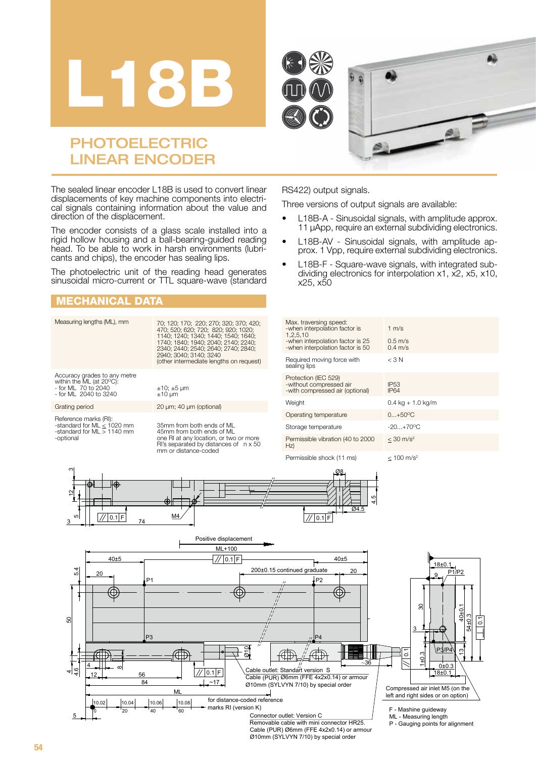





# PHOTOELECTRIC LINEAR ENCODER

The sealed linear encoder L18B is used to convert linear displacements of key machine components into electrical signals containing information about the value and direction of the displacement.

The encoder consists of a glass scale installed into a rigid hollow housing and a ball-bearing-guided reading head. To be able to work in harsh environments (lubricants and chips), the encoder has sealing lips.

The photoelectric unit of the reading head generates sinusoidal micro-current or TTL square-wave (standard

### MECHANICAL DATA

#### Measuring lengths (ML), mm 70; 120; 170; 220; 270; 320; 370; 420; 470; 520; 620; 720; 820; 920; 1020; 1140; 1240; 1340; 1440; 1540; 1640; 1740; 1840; 1940; 2040; 2140; 2240; 2340; 2440; 2540; 2640; 2740; 2840; 2940; 3040; 3140; 3240 (other intermediate lengths on request) Accuracy grades to any metre<br>within the ML (at 20°C):<br>- for ML 70 to 2040<br>- for ML 2040 to 3240 ±10; ±5 µm ±10 µm Grating period 20 µm; 40 µm (optional) Reference marks (RI): -standard for ML < 1020 mm -standard for ML > 1140 mm -optional 35mm from both ends of ML 45mm from both ends of ML one RI at any location, or two or more RI's separated by distances of n x 50 mm or distance-coded M<br>-v<br>1,<br>-v  $s$ e  $Pr$  $H$ P1  $ML+100$ ო 12 ω 3  $^{10}$   $\left[\frac{1}{2}\right]$   $\left[\frac{1}{2}\right]$  0.1|F  $\left[\frac{1}{2}\right]$  74 Positive displacement 20 5.4

#### RS422) output signals.

Three versions of output signals are available:

- L18B-A Sinusoidal signals, with amplitude approx. 11 μApp, require an external subdividing electronics.
- L18B-AV Sinusoidal signals, with amplitude approx. 1 Vpp, require external subdividing electronics.
- L18B-F Square-wave signals, with integrated subdividing electronics for interpolation x1, x2, x5, x10, x25, x50

| Max. traversing speed:<br>-when interpolation factor is<br>1,2,5,10<br>-when interpolation factor is 25<br>-when interpolation factor is 50 | 1 $m/s$<br>$0.5 \text{ m/s}$<br>$0.4$ m/s |
|---------------------------------------------------------------------------------------------------------------------------------------------|-------------------------------------------|
| Required moving force with<br>sealing lips                                                                                                  | $<$ 3 N                                   |
| Protection (IEC 529)<br>-without compressed air<br>-with compressed air (optional)                                                          | IP <sub>53</sub><br><b>IP64</b>           |
| Weight                                                                                                                                      | $0.4 \text{ kg} + 1.0 \text{ kg/m}$       |
| Operating temperature                                                                                                                       | $0+50^{\circ}C$                           |
| Storage temperature                                                                                                                         | $-20 + 70$ <sup>o</sup> C                 |
| Permissible vibration (40 to 2000<br>Hz)                                                                                                    | $<$ 30 m/s <sup>2</sup>                   |
|                                                                                                                                             |                                           |

Permissible shock (11 ms)  $\leq 100 \text{ m/s}^2$ 

Ø8



Removable cable with mini connector HR25 Cable (PUR) Ø6mm (FFE 4x2x0.14) or armour Ø10mm (SYLVYN 7/10) by special order

50

4